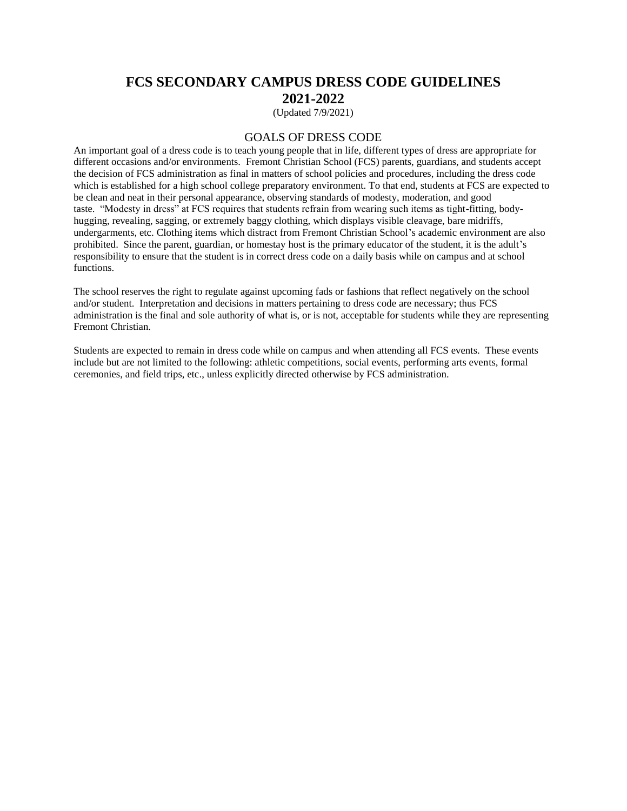#### **FCS SECONDARY CAMPUS DRESS CODE GUIDELINES 2021-2022**

(Updated 7/9/2021)

#### GOALS OF DRESS CODE

An important goal of a dress code is to teach young people that in life, different types of dress are appropriate for different occasions and/or environments. Fremont Christian School (FCS) parents, guardians, and students accept the decision of FCS administration as final in matters of school policies and procedures, including the dress code which is established for a high school college preparatory environment. To that end, students at FCS are expected to be clean and neat in their personal appearance, observing standards of modesty, moderation, and good taste. "Modesty in dress" at FCS requires that students refrain from wearing such items as tight-fitting, bodyhugging, revealing, sagging, or extremely baggy clothing, which displays visible cleavage, bare midriffs, undergarments, etc. Clothing items which distract from Fremont Christian School's academic environment are also prohibited. Since the parent, guardian, or homestay host is the primary educator of the student, it is the adult's responsibility to ensure that the student is in correct dress code on a daily basis while on campus and at school functions.

The school reserves the right to regulate against upcoming fads or fashions that reflect negatively on the school and/or student. Interpretation and decisions in matters pertaining to dress code are necessary; thus FCS administration is the final and sole authority of what is, or is not, acceptable for students while they are representing Fremont Christian.

Students are expected to remain in dress code while on campus and when attending all FCS events. These events include but are not limited to the following: athletic competitions, social events, performing arts events, formal ceremonies, and field trips, etc., unless explicitly directed otherwise by FCS administration.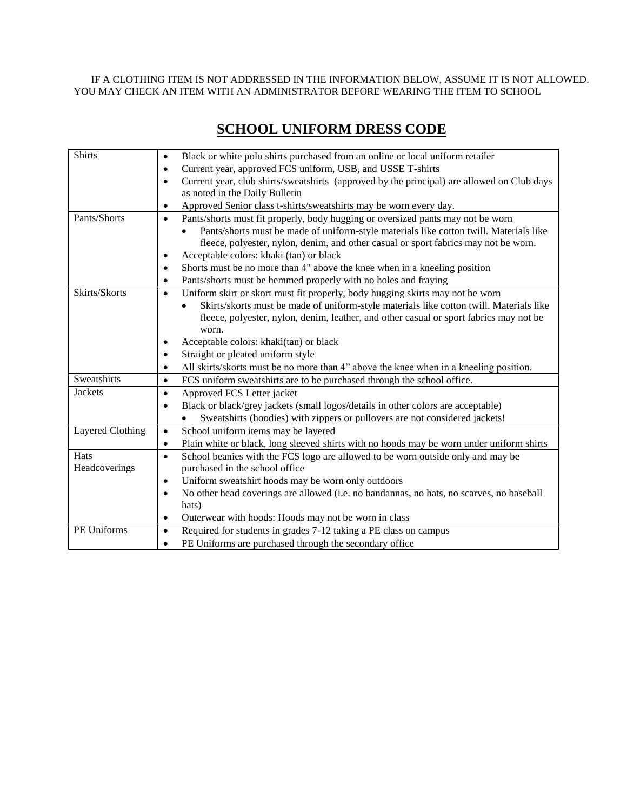IF A CLOTHING ITEM IS NOT ADDRESSED IN THE INFORMATION BELOW, ASSUME IT IS NOT ALLOWED. YOU MAY CHECK AN ITEM WITH AN ADMINISTRATOR BEFORE WEARING THE ITEM TO SCHOOL

| <b>Shirts</b>           | Black or white polo shirts purchased from an online or local uniform retailer<br>$\bullet$              |
|-------------------------|---------------------------------------------------------------------------------------------------------|
|                         | Current year, approved FCS uniform, USB, and USSE T-shirts                                              |
|                         | Current year, club shirts/sweatshirts (approved by the principal) are allowed on Club days<br>$\bullet$ |
|                         | as noted in the Daily Bulletin                                                                          |
|                         | Approved Senior class t-shirts/sweatshirts may be worn every day.                                       |
| Pants/Shorts            | Pants/shorts must fit properly, body hugging or oversized pants may not be worn<br>$\bullet$            |
|                         | Pants/shorts must be made of uniform-style materials like cotton twill. Materials like                  |
|                         | fleece, polyester, nylon, denim, and other casual or sport fabrics may not be worn.                     |
|                         | Acceptable colors: khaki (tan) or black                                                                 |
|                         | Shorts must be no more than 4" above the knee when in a kneeling position<br>٠                          |
|                         | Pants/shorts must be hemmed properly with no holes and fraying                                          |
| Skirts/Skorts           | Uniform skirt or skort must fit properly, body hugging skirts may not be worn<br>$\bullet$              |
|                         | Skirts/skorts must be made of uniform-style materials like cotton twill. Materials like                 |
|                         | fleece, polyester, nylon, denim, leather, and other casual or sport fabrics may not be                  |
|                         | worn.                                                                                                   |
|                         | Acceptable colors: khaki(tan) or black                                                                  |
|                         | Straight or pleated uniform style                                                                       |
|                         | All skirts/skorts must be no more than 4" above the knee when in a kneeling position.                   |
| Sweatshirts             | FCS uniform sweatshirts are to be purchased through the school office.<br>$\bullet$                     |
| <b>Jackets</b>          | Approved FCS Letter jacket<br>$\bullet$                                                                 |
|                         | Black or black/grey jackets (small logos/details in other colors are acceptable)<br>٠                   |
|                         | Sweatshirts (hoodies) with zippers or pullovers are not considered jackets!                             |
| <b>Layered Clothing</b> | School uniform items may be layered<br>$\bullet$                                                        |
|                         | Plain white or black, long sleeved shirts with no hoods may be worn under uniform shirts<br>$\bullet$   |
| Hats                    | School beanies with the FCS logo are allowed to be worn outside only and may be<br>$\bullet$            |
| Headcoverings           | purchased in the school office                                                                          |
|                         | Uniform sweatshirt hoods may be worn only outdoors<br>٠                                                 |
|                         | No other head coverings are allowed (i.e. no bandannas, no hats, no scarves, no baseball<br>$\bullet$   |
|                         | hats)                                                                                                   |
|                         | Outerwear with hoods: Hoods may not be worn in class                                                    |
| PE Uniforms             | Required for students in grades 7-12 taking a PE class on campus<br>$\bullet$                           |
|                         | PE Uniforms are purchased through the secondary office                                                  |

# **SCHOOL UNIFORM DRESS CODE**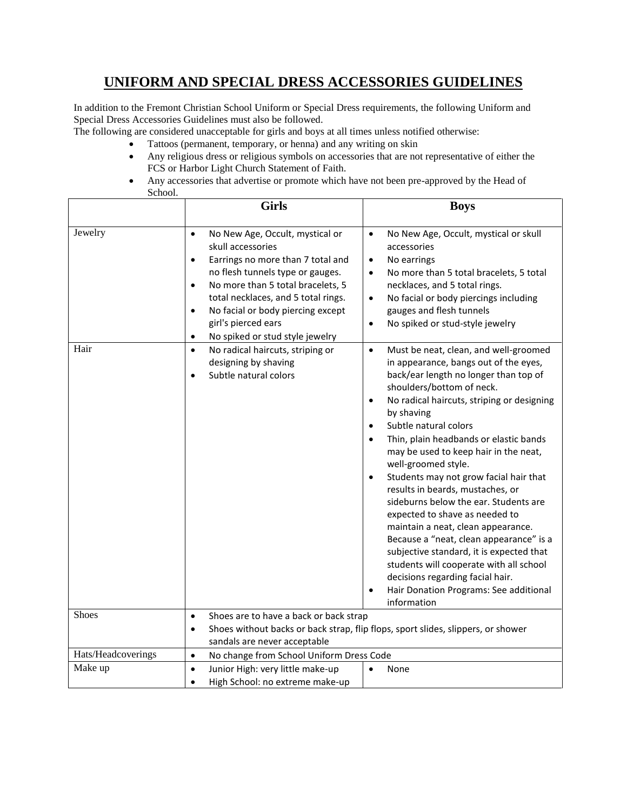### **UNIFORM AND SPECIAL DRESS ACCESSORIES GUIDELINES**

In addition to the Fremont Christian School Uniform or Special Dress requirements, the following Uniform and Special Dress Accessories Guidelines must also be followed.

The following are considered unacceptable for girls and boys at all times unless notified otherwise:

- Tattoos (permanent, temporary, or henna) and any writing on skin
- Any religious dress or religious symbols on accessories that are not representative of either the FCS or Harbor Light Church Statement of Faith.
- Any accessories that advertise or promote which have not been pre-approved by the Head of School.

|                    | <b>Girls</b>                                                                                                                                                                                                                                                                                                                                                              | <b>Boys</b>                                                                                                                                                                                                                                                                                                                                                                                                                                                                                                                                                                                                                                                                                                                                                                                                                           |  |  |  |
|--------------------|---------------------------------------------------------------------------------------------------------------------------------------------------------------------------------------------------------------------------------------------------------------------------------------------------------------------------------------------------------------------------|---------------------------------------------------------------------------------------------------------------------------------------------------------------------------------------------------------------------------------------------------------------------------------------------------------------------------------------------------------------------------------------------------------------------------------------------------------------------------------------------------------------------------------------------------------------------------------------------------------------------------------------------------------------------------------------------------------------------------------------------------------------------------------------------------------------------------------------|--|--|--|
| Jewelry            | No New Age, Occult, mystical or<br>$\bullet$<br>skull accessories<br>Earrings no more than 7 total and<br>$\bullet$<br>no flesh tunnels type or gauges.<br>No more than 5 total bracelets, 5<br>$\bullet$<br>total necklaces, and 5 total rings.<br>No facial or body piercing except<br>$\bullet$<br>girl's pierced ears<br>No spiked or stud style jewelry<br>$\bullet$ | No New Age, Occult, mystical or skull<br>$\bullet$<br>accessories<br>No earrings<br>$\bullet$<br>No more than 5 total bracelets, 5 total<br>$\bullet$<br>necklaces, and 5 total rings.<br>No facial or body piercings including<br>$\bullet$<br>gauges and flesh tunnels<br>No spiked or stud-style jewelry<br>$\bullet$                                                                                                                                                                                                                                                                                                                                                                                                                                                                                                              |  |  |  |
| Hair               | No radical haircuts, striping or<br>$\bullet$<br>designing by shaving<br>Subtle natural colors<br>$\bullet$                                                                                                                                                                                                                                                               | Must be neat, clean, and well-groomed<br>$\bullet$<br>in appearance, bangs out of the eyes,<br>back/ear length no longer than top of<br>shoulders/bottom of neck.<br>No radical haircuts, striping or designing<br>$\bullet$<br>by shaving<br>Subtle natural colors<br>$\bullet$<br>Thin, plain headbands or elastic bands<br>may be used to keep hair in the neat,<br>well-groomed style.<br>Students may not grow facial hair that<br>$\bullet$<br>results in beards, mustaches, or<br>sideburns below the ear. Students are<br>expected to shave as needed to<br>maintain a neat, clean appearance.<br>Because a "neat, clean appearance" is a<br>subjective standard, it is expected that<br>students will cooperate with all school<br>decisions regarding facial hair.<br>Hair Donation Programs: See additional<br>information |  |  |  |
| Shoes              | Shoes are to have a back or back strap<br>$\bullet$                                                                                                                                                                                                                                                                                                                       |                                                                                                                                                                                                                                                                                                                                                                                                                                                                                                                                                                                                                                                                                                                                                                                                                                       |  |  |  |
|                    | Shoes without backs or back strap, flip flops, sport slides, slippers, or shower<br>$\bullet$<br>sandals are never acceptable                                                                                                                                                                                                                                             |                                                                                                                                                                                                                                                                                                                                                                                                                                                                                                                                                                                                                                                                                                                                                                                                                                       |  |  |  |
| Hats/Headcoverings | $\bullet$<br>No change from School Uniform Dress Code                                                                                                                                                                                                                                                                                                                     |                                                                                                                                                                                                                                                                                                                                                                                                                                                                                                                                                                                                                                                                                                                                                                                                                                       |  |  |  |
| Make up            | Junior High: very little make-up<br>$\bullet$<br>High School: no extreme make-up<br>$\bullet$                                                                                                                                                                                                                                                                             | None                                                                                                                                                                                                                                                                                                                                                                                                                                                                                                                                                                                                                                                                                                                                                                                                                                  |  |  |  |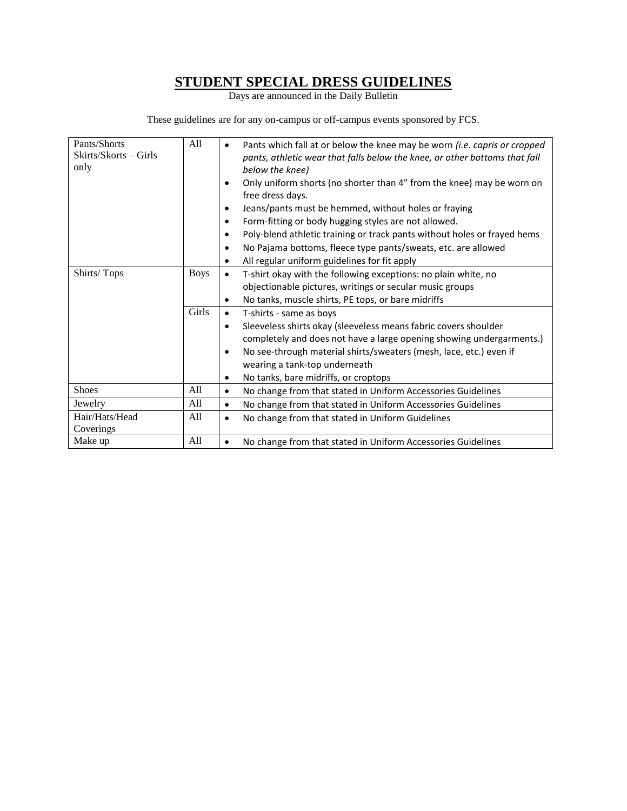#### **STUDENT SPECIAL DRESS GUIDELINES**

Days are announced in the Daily Bulletin

These guidelines are for any on-campus or off-campus events sponsored by FCS.

| Pants/Shorts<br>Skirts/Skorts – Girls<br>only<br>Shirts/Tops | All<br><b>Boys</b> | Pants which fall at or below the knee may be worn (i.e. capris or cropped<br>$\bullet$<br>pants, athletic wear that falls below the knee, or other bottoms that fall<br>below the knee)<br>Only uniform shorts (no shorter than 4" from the knee) may be worn on<br>$\bullet$<br>free dress days.<br>Jeans/pants must be hemmed, without holes or fraying<br>$\bullet$<br>Form-fitting or body hugging styles are not allowed.<br>$\bullet$<br>Poly-blend athletic training or track pants without holes or frayed hems<br>$\bullet$<br>No Pajama bottoms, fleece type pants/sweats, etc. are allowed<br>$\bullet$<br>All regular uniform guidelines for fit apply<br>$\bullet$<br>T-shirt okay with the following exceptions: no plain white, no<br>$\bullet$ |
|--------------------------------------------------------------|--------------------|----------------------------------------------------------------------------------------------------------------------------------------------------------------------------------------------------------------------------------------------------------------------------------------------------------------------------------------------------------------------------------------------------------------------------------------------------------------------------------------------------------------------------------------------------------------------------------------------------------------------------------------------------------------------------------------------------------------------------------------------------------------|
|                                                              |                    | objectionable pictures, writings or secular music groups                                                                                                                                                                                                                                                                                                                                                                                                                                                                                                                                                                                                                                                                                                       |
|                                                              |                    | No tanks, muscle shirts, PE tops, or bare midriffs<br>$\bullet$                                                                                                                                                                                                                                                                                                                                                                                                                                                                                                                                                                                                                                                                                                |
|                                                              | Girls              | T-shirts - same as boys<br>$\bullet$                                                                                                                                                                                                                                                                                                                                                                                                                                                                                                                                                                                                                                                                                                                           |
|                                                              |                    | Sleeveless shirts okay (sleeveless means fabric covers shoulder<br>$\bullet$                                                                                                                                                                                                                                                                                                                                                                                                                                                                                                                                                                                                                                                                                   |
|                                                              |                    | completely and does not have a large opening showing undergarments.)                                                                                                                                                                                                                                                                                                                                                                                                                                                                                                                                                                                                                                                                                           |
|                                                              |                    | No see-through material shirts/sweaters (mesh, lace, etc.) even if<br>$\bullet$                                                                                                                                                                                                                                                                                                                                                                                                                                                                                                                                                                                                                                                                                |
|                                                              |                    | wearing a tank-top underneath                                                                                                                                                                                                                                                                                                                                                                                                                                                                                                                                                                                                                                                                                                                                  |
|                                                              |                    | No tanks, bare midriffs, or croptops<br>$\bullet$                                                                                                                                                                                                                                                                                                                                                                                                                                                                                                                                                                                                                                                                                                              |
| <b>Shoes</b>                                                 | All                | No change from that stated in Uniform Accessories Guidelines<br>$\bullet$                                                                                                                                                                                                                                                                                                                                                                                                                                                                                                                                                                                                                                                                                      |
| Jewelry                                                      | All                | No change from that stated in Uniform Accessories Guidelines<br>$\bullet$                                                                                                                                                                                                                                                                                                                                                                                                                                                                                                                                                                                                                                                                                      |
| Hair/Hats/Head                                               | All                | No change from that stated in Uniform Guidelines<br>$\bullet$                                                                                                                                                                                                                                                                                                                                                                                                                                                                                                                                                                                                                                                                                                  |
| Coverings                                                    |                    |                                                                                                                                                                                                                                                                                                                                                                                                                                                                                                                                                                                                                                                                                                                                                                |
| Make up                                                      | All                | No change from that stated in Uniform Accessories Guidelines<br>$\bullet$                                                                                                                                                                                                                                                                                                                                                                                                                                                                                                                                                                                                                                                                                      |